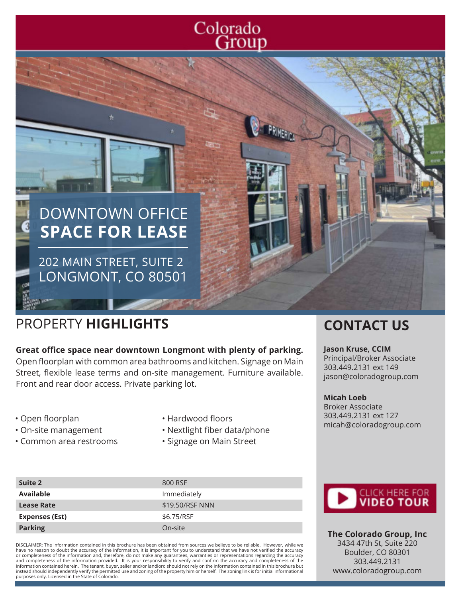# Colorado Group

# DOWNTOWN OFFICE **SPACE FOR LEASE**

202 MAIN STREET, SUITE 2 LONGMONT, CO 80501

# PROPERTY **HIGHLIGHTS CONTACT US**

**Great office space near downtown Longmont with plenty of parking.**  Open floorplan with common area bathrooms and kitchen. Signage on Main Street, flexible lease terms and on-site management. Furniture available. Front and rear door access. Private parking lot.

- Open floorplan
- On-site management
- Common area restrooms
- Hardwood floors
- Nextlight fiber data/phone
- Signage on Main Street

#### **Suite 2** 800 RSF Available **Available Immediately Lease Rate**  $$19.50/RSF NNN$ Expenses (Est) \$6.75/RSF **Parking** On-site

DISCLAIMER: The information contained in this brochure has been obtained from sources we believe to be reliable. However, while we have no reason to doubt the accuracy of the information, it is important for you to understand that we have not verified the accuracy or completeness of the information and, therefore, do not make any guarantees, warranties or representations regarding the accuracy<br>and completeness of the information provided. It is your responsibility to verify and con information contained herein. The tenant, buyer, seller and/or landlord should not rely on the information contained in this brochure but instead should independently verify the permitted use and zoning of the property him or herself. The zoning link is for initial informational purposes only. Licensed in the State of Colorado.



#### **Jason Kruse, CCIM** Principal/Broker Associate 303.449.2131 ext 149 jason@coloradogroup.com

**Micah Loeb** Broker Associate 303.449.2131 ext 127 micah@coloradogroup.com



**The Colorado Group, Inc** 3434 47th St, Suite 220 Boulder, CO 80301 303.449.2131 www.coloradogroup.com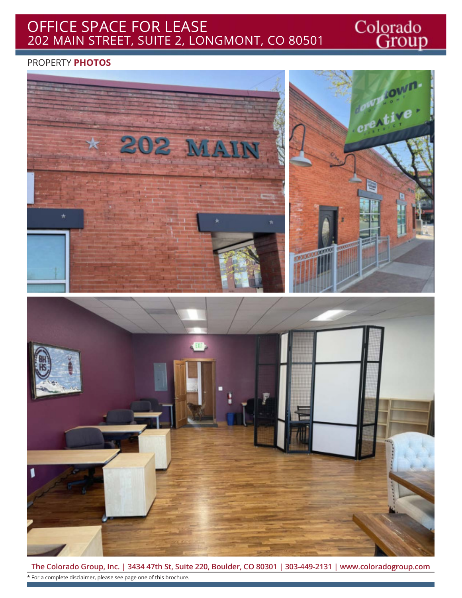### OFFICE SPACE FOR LEASE 202 MAIN STREET, SUITE 2, LONGMONT, CO 80501

Colorado<br>Group

#### PROPERTY **PHOTOS**



**The Colorado Group, Inc. | 3434 47th St, Suite 220, Boulder, CO 80301 | 303-449-2131 | www.coloradogroup.com** \* For a complete disclaimer, please see page one of this brochure.